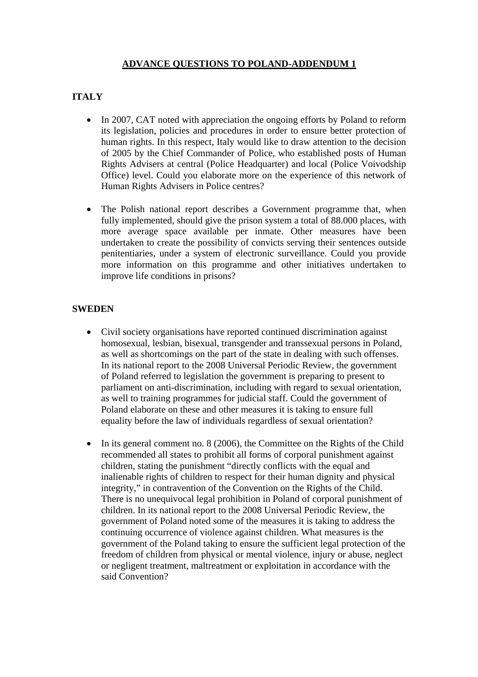## **ADVANCE QUESTIONS TO POLAND-ADDENDUM 1**

# **ITALY**

- In 2007, CAT noted with appreciation the ongoing efforts by Poland to reform its legislation, policies and procedures in order to ensure better protection of human rights. In this respect, Italy would like to draw attention to the decision of 2005 by the Chief Commander of Police, who established posts of Human Rights Advisers at central (Police Headquarter) and local (Police Voivodship Office) level. Could you elaborate more on the experience of this network of Human Rights Advisers in Police centres?
- The Polish national report describes a Government programme that, when fully implemented, should give the prison system a total of 88.000 places, with more average space available per inmate. Other measures have been undertaken to create the possibility of convicts serving their sentences outside penitentiaries, under a system of electronic surveillance. Could you provide more information on this programme and other initiatives undertaken to improve life conditions in prisons?

#### **SWEDEN**

- Civil society organisations have reported continued discrimination against homosexual, lesbian, bisexual, transgender and transsexual persons in Poland, as well as shortcomings on the part of the state in dealing with such offenses. In its national report to the 2008 Universal Periodic Review, the government of Poland referred to legislation the government is preparing to present to parliament on anti-discrimination, including with regard to sexual orientation, as well to training programmes for judicial staff. Could the government of Poland elaborate on these and other measures it is taking to ensure full equality before the law of individuals regardless of sexual orientation?
- In its general comment no. 8 (2006), the Committee on the Rights of the Child recommended all states to prohibit all forms of corporal punishment against children, stating the punishment "directly conflicts with the equal and inalienable rights of children to respect for their human dignity and physical integrity," in contravention of the Convention on the Rights of the Child. There is no unequivocal legal prohibition in Poland of corporal punishment of children. In its national report to the 2008 Universal Periodic Review, the government of Poland noted some of the measures it is taking to address the continuing occurrence of violence against children. What measures is the government of the Poland taking to ensure the sufficient legal protection of the freedom of children from physical or mental violence, injury or abuse, neglect or negligent treatment, maltreatment or exploitation in accordance with the said Convention?